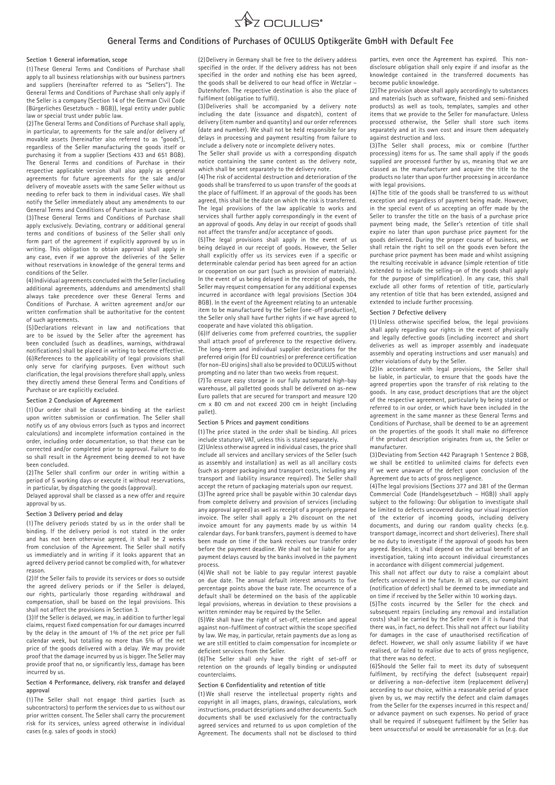

# **General Terms and Conditions of Purchases of OCULUS Optikgeräte GmbH with Default Fee**

#### **Section 1 General information, scope**

(1) These General Terms and Conditions of Purchase shall  $\frac{1}{2}$  apply to all business relationships with our business partners and suppliers (hereinafter referred to as "Sellers"). The General Terms and Conditions of Purchase shall only apply if the Seller is a company (Section 14 of the German Civil Code (Bürgerliches Gesetzbuch – BGB)), legal entity under public law or special trust under public law.

(2) The General Terms and Conditions of Purchase shall apply, in particular, to agreements for the sale and/or delivery of movable assets (hereinafter also referred to as "goods"), regardless of the Seller manufacturing the goods itself or purchasing it from a supplier (Sections 433 and 651 BGB). The General Terms and conditions of Purchase in their respective applicable version shall also apply as general agreements for future agreements for the sale and/or delivery of moveable assets with the same Seller without us needing to refer back to them in individual cases. We shall notify the Seller immediately about any amendments to our General Terms and Conditions of Purchase in such case.

(3)These General Terms and Conditions of Purchase shall apply exclusively. Deviating, contrary or additional general terms and conditions of business of the Seller shall only form part of the agreement if explicitly approved by us in writing. This obligation to obtain approval shall apply in any case, even if we approve the deliveries of the Seller without reservations in knowledge of the general terms and conditions of the Seller.

(4)Individual agreements concluded with the Seller (including additional agreements, addendums and amendments) shall always take precedence over these General Terms and Conditions of Purchase. A written agreement and/or our written confirmation shall be authoritative for the content of such agreements.

(5)Declarations relevant in law and notifications that are to be issued by the Seller after the agreement has been concluded (such as deadlines, warnings, withdrawal notifications) shall be placed in writing to become effective. (6)References to the applicability of legal provisions shall only serve for clarifying purposes. Even without such clarification, the legal provisions therefore shall apply, unless they directly amend these General Terms and Conditions of Purchase or are explicitly excluded.

#### **Section 2 Conclusion of Agreement**

(1) Our order shall be classed as binding at the earliest upon written submission or confirmation. The Seller shall notify us of any obvious errors (such as typos and incorrect calculations) and incomplete information contained in the order, including order documentation, so that these can be corrected and/or completed prior to approval. Failure to do so shall result in the Agreement being deemed to not have been concluded.

(2) The Seller shall confirm our order in writing within a period of 5 working days or execute it without reservations, in particular, by dispatching the goods (approval).

Delayed approval shall be classed as a new offer and require approval by us.

## **Section 3 Delivery period and delay**

(1) The delivery periods stated by us in the order shall be binding. If the delivery period is not stated in the order and has not been otherwise agreed, it shall be 2 weeks from conclusion of the Agreement. The Seller shall notify us immediately and in writing if it looks apparent that an agreed delivery period cannot be complied with, for whatever reason.

(2)If the Seller fails to provide its services or does so outside the agreed delivery periods or if the Seller is delayed, our rights, particularly those regarding withdrawal and compensation, shall be based on the legal provisions. This shall not affect the provisions in Section 3.

(3)If the Seller is delayed, we may, in addition to further legal claims, request fixed compensation for our damages incurred by the delay in the amount of 1% of the net price per full calendar week, but totalling no more than 5% of the net price of the goods delivered with a delay. We may provide proof that the damage incurred by us is bigger. The Seller may provide proof that no, or significantly less, damage has been incurred by us.

## **Section 4 Performance, delivery, risk transfer and delayed approval**

(1) The Seller shall not engage third parties (such as subcontractors) to perform the services due to us without our prior written consent. The Seller shall carry the procurement risk for its services, unless agreed otherwise in individual cases (e.g. sales of goods in stock)

(2)Delivery in Germany shall be free to the delivery address specified in the order. If the delivery address has not been specified in the order and nothing else has been agreed, the goods shall be delivered to our head office in Wetzlar – Dutenhofen. The respective destination is also the place of fulfilment (obligation to fulfil).

(3)Deliveries shall be accompanied by a delivery note including the date (issuance and dispatch), content of delivery (item number and quantity) and our order references (date and number). We shall not be held responsible for any delays in processing and payment resulting from failure to include a delivery note or incomplete delivery notes.

The Seller shall provide us with a corresponding dispatch notice containing the same content as the delivery note, which shall be sent separately to the delivery note.

(4)The risk of accidental destruction and deterioration of the goods shall be transferred to us upon transfer of the goods at the place of fulfilment. If an approval of the goods has been agreed, this shall be the date on which the risk is transferred. The legal provisions of the law applicable to works and services shall further apply correspondingly in the event of an approval of goods. Any delay in our receipt of goods shall not affect the transfer and/or acceptance of goods.

(5)The legal provisions shall apply in the event of us being delayed in our receipt of goods. However, the Seller shall explicitly offer us its services even if a specific or determinable calendar period has been agreed for an action or cooperation on our part (such as provision of materials). In the event of us being delayed in the receipt of goods, the Seller may request compensation for any additional expenses incurred in accordance with legal provisions (Section 304 BGB). In the event of the Agreement relating to an untenable item to be manufactured by the Seller (one-off production), the Seller only shall have further rights if we have agreed to cooperate and have violated this obligation.

(6)If deliveries come from preferred countries, the supplier shall attach proof of preference to the respective delivery. The long-term and individual supplier declarations for the preferred origin (for EU countries) or preference certification (for non-EU origins) shall also be provided to OCULUS without prompting and no later than two weeks from request.

(7) To ensure easy storage in our fully automated high-bay warehouse, all palletted goods shall be delivered on as-new Euro pallets that are secured for transport and measure 120 cm x 80 cm and not exceed 200 cm in height (including pallet).

## **Section 5 Prices and payment conditions**

(1) The price stated in the order shall be binding. All prices include statutory VAT, unless this is stated separately.

(2)Unless otherwise agreed in individual cases, the price shall include all services and ancillary services of the Seller (such as assembly and installation) as well as all ancillary costs (such as proper packaging and transport costs, including any transport and liability insurance required). The Seller shall accept the return of packaging materials upon our request. (3)The agreed price shall be payable within 30 calendar days from complete delivery and provision of services (including any approval agreed) as well as receipt of a properly prepared invoice. The seller shall apply a 2% discount on the net invoice amount for any payments made by us within 14 calendar days. For bank transfers, payment is deemed to have been made on time if the bank receives our transfer order before the payment deadline. We shall not be liable for any payment delays caused by the banks involved in the payment process.

(4)We shall not be liable to pay regular interest payable on due date. The annual default interest amounts to five percentage points above the base rate. The occurrence of a default shall be determined on the basis of the applicable legal provisions, whereas in deviation to these provisions a written reminder may be required by the Seller.

(5)We shall have the right of set-off, retention and appeal against non-fulfilment of contract within the scope specified by law. We may, in particular, retain payments due as long as we are still entitled to claim compensation for incomplete or deficient services from the Seller.

(6)The Seller shall only have the right of set-off or retention on the grounds of legally binding or undisputed counterclaims.

### **Section 6 Confidentiality and retention of title**

(1) We shall reserve the intellectual property rights and copyright in all images, plans, drawings, calculations, work instructions, product descriptions and other documents. Such documents shall be used exclusively for the contractually agreed services and returned to us upon completion of the Agreement. The documents shall not be disclosed to third

parties, even once the Agreement has expired. This nondisclosure obligation shall only expire if and insofar as the knowledge contained in the transferred documents has become public knowledge.

(2) The provision above shall apply accordingly to substances and materials (such as software, finished and semi-finished products) as well as tools, templates, samples and other items that we provide to the Seller for manufacture. Unless processed otherwise, the Seller shall store such items separately and at its own cost and insure them adequately against destruction and loss.

(3)The Seller shall process, mix or combine (further processing) items for us. The same shall apply if the goods supplied are processed further by us, meaning that we are classed as the manufacturer and acquire the title to the products no later than upon further processing in accordance with legal provisions.

(4)The title of the goods shall be transferred to us without exception and regardless of payment being made. However, in the special event of us accepting an offer made by the Seller to transfer the title on the basis of a purchase price payment being made, the Seller's retention of title shall expire no later than upon purchase price payment for the goods delivered. During the proper course of business, we shall retain the right to sell on the goods even before the purchase price payment has been made and whilst assigning the resulting receivable in advance (simple retention of title extended to include the selling-on of the goods shall apply for the purpose of simplification). In any case, this shall exclude all other forms of retention of title, particularly any retention of title that has been extended, assigned and extended to include further processing.

### **Section 7 Defective delivery**

(1) Unless otherwise specified below, the legal provisions shall apply regarding our rights in the event of physically and legally defective goods (including incorrect and short deliveries as well as improper assembly and inadequate assembly and operating instructions and user manuals) and other violations of duty by the Seller.

(2)In accordance with legal provisions, the Seller shall be liable, in particular, to ensure that the goods have the agreed properties upon the transfer of risk relating to the goods. In any case, product descriptions that are the object of the respective agreement, particularly by being stated or referred to in our order, or which have been included in the agreement in the same manner as these General Terms and Conditions of Purchase, shall be deemed to be an agreement on the properties of the goods It shall make no difference if the product description originates from us, the Seller or manufacturer.

(3)Deviating from Section 442 Paragraph 1 Sentence 2 BGB, we shall be entitled to unlimited claims for defects even if we were unaware of the defect upon conclusion of the Agreement due to acts of gross negligence.

(4)The legal provisions (Sections 377 and 381 of the German Commercial Code (Handelsgesetzbuch – HGB)) shall apply subject to the following: Our obligation to investigate shall be limited to defects uncovered during our visual inspection of the exterior of incoming goods, including delivery documents, and during our random quality checks (e.g. transport damage, incorrect and short deliveries). There shall be no duty to investigate if the approval of goods has been agreed. Besides, it shall depend on the actual benefit of an investigation, taking into account individual circumstances in accordance with diligent commercial judgement.

This shall not affect our duty to raise a complaint about defects uncovered in the future. In all cases, our complaint (notification of defect) shall be deemed to be immediate and on time if received by the Seller within 10 working days.

(5)The costs incurred by the Seller for the check and subsequent repairs (including any removal and installation costs) shall be carried by the Seller even if it is found that there was, in fact, no defect. This shall not affect our liability for damages in the case of unauthorised rectification of defect. However, we shall only assume liability if we have realised, or failed to realise due to acts of gross negligence, that there was no defect.

(6)Should the Seller fail to meet its duty of subsequent fulfilment, by rectifying the defect (subsequent repair) or delivering a non-defective item (replacement delivery) according to our choice, within a reasonable period of grace given by us, we may rectify the defect and claim damages from the Seller for the expenses incurred in this respect and/ or advance payment on such expenses. No period of grace shall be required if subsequent fulfilment by the Seller has been unsuccessful or would be unreasonable for us (e.g. due